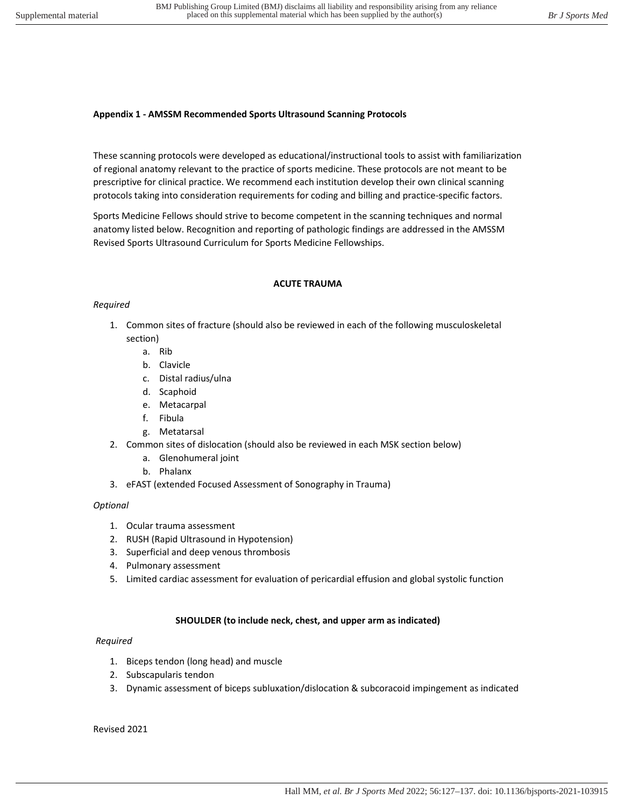#### **Appendix 1 - AMSSM Recommended Sports Ultrasound Scanning Protocols**

These scanning protocols were developed as educational/instructional tools to assist with familiarization of regional anatomy relevant to the practice of sports medicine. These protocols are not meant to be prescriptive for clinical practice. We recommend each institution develop their own clinical scanning protocols taking into consideration requirements for coding and billing and practice-specific factors.

Sports Medicine Fellows should strive to become competent in the scanning techniques and normal anatomy listed below. Recognition and reporting of pathologic findings are addressed in the AMSSM Revised Sports Ultrasound Curriculum for Sports Medicine Fellowships.

#### **ACUTE TRAUMA**

## *Required*

- 1. Common sites of fracture (should also be reviewed in each of the following musculoskeletal section)
	- a. Rib
	- b. Clavicle
	- c. Distal radius/ulna
	- d. Scaphoid
	- e. Metacarpal
	- f. Fibula
	- g. Metatarsal
- 2. Common sites of dislocation (should also be reviewed in each MSK section below)
	- a. Glenohumeral joint
	- b. Phalanx
- 3. eFAST (extended Focused Assessment of Sonography in Trauma)

## *Optional*

- 1. Ocular trauma assessment
- 2. RUSH (Rapid Ultrasound in Hypotension)
- 3. Superficial and deep venous thrombosis
- 4. Pulmonary assessment
- 5. Limited cardiac assessment for evaluation of pericardial effusion and global systolic function

## **SHOULDER (to include neck, chest, and upper arm as indicated)**

## *Required*

- 1. Biceps tendon (long head) and muscle
- 2. Subscapularis tendon
- 3. Dynamic assessment of biceps subluxation/dislocation & subcoracoid impingement as indicated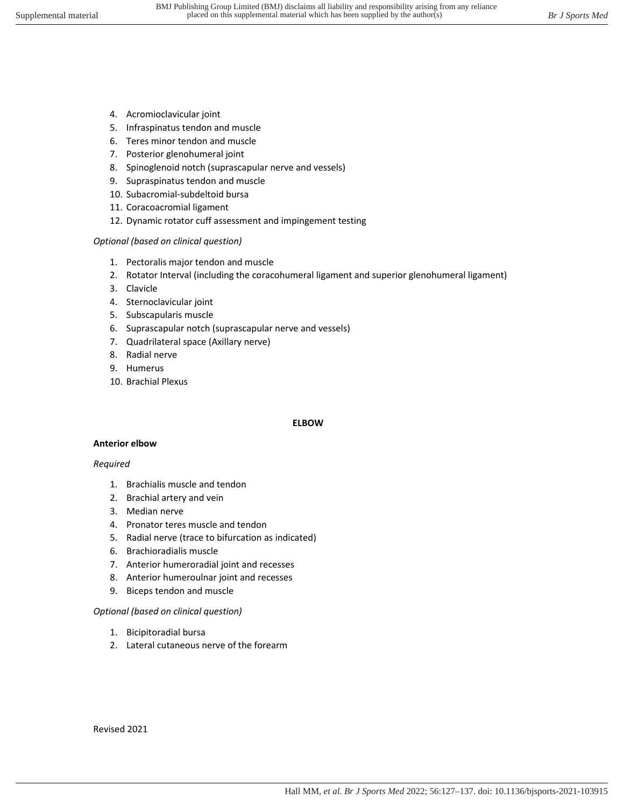- 4. Acromioclavicular joint
- 5. Infraspinatus tendon and muscle
- 6. Teres minor tendon and muscle
- 7. Posterior glenohumeral joint
- 8. Spinoglenoid notch (suprascapular nerve and vessels)
- 9. Supraspinatus tendon and muscle
- 10. Subacromial-subdeltoid bursa
- 11. Coracoacromial ligament
- 12. Dynamic rotator cuff assessment and impingement testing

- 1. Pectoralis major tendon and muscle
- 2. Rotator Interval (including the coracohumeral ligament and superior glenohumeral ligament)
- 3. Clavicle
- 4. Sternoclavicular joint
- 5. Subscapularis muscle
- 6. Suprascapular notch (suprascapular nerve and vessels)
- 7. Quadrilateral space (Axillary nerve)
- 8. Radial nerve
- 9. Humerus
- 10. Brachial Plexus

#### **ELBOW**

#### **Anterior elbow**

#### *Required*

- 1. Brachialis muscle and tendon
- 2. Brachial artery and vein
- 3. Median nerve
- 4. Pronator teres muscle and tendon
- 5. Radial nerve (trace to bifurcation as indicated)
- 6. Brachioradialis muscle
- 7. Anterior humeroradial joint and recesses
- 8. Anterior humeroulnar joint and recesses
- 9. Biceps tendon and muscle

#### *Optional (based on clinical question)*

- 1. Bicipitoradial bursa
- 2. Lateral cutaneous nerve of the forearm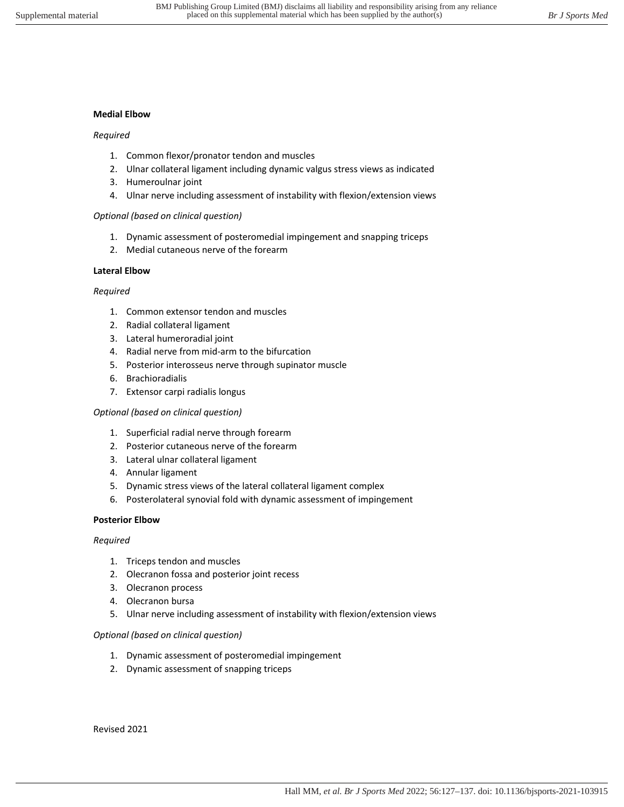#### **Medial Elbow**

#### *Required*

- 1. Common flexor/pronator tendon and muscles
- 2. Ulnar collateral ligament including dynamic valgus stress views as indicated
- 3. Humeroulnar joint
- 4. Ulnar nerve including assessment of instability with flexion/extension views

#### *Optional (based on clinical question)*

- 1. Dynamic assessment of posteromedial impingement and snapping triceps
- 2. Medial cutaneous nerve of the forearm

## **Lateral Elbow**

#### *Required*

- 1. Common extensor tendon and muscles
- 2. Radial collateral ligament
- 3. Lateral humeroradial joint
- 4. Radial nerve from mid-arm to the bifurcation
- 5. Posterior interosseus nerve through supinator muscle
- 6. Brachioradialis
- 7. Extensor carpi radialis longus

#### *Optional (based on clinical question)*

- 1. Superficial radial nerve through forearm
- 2. Posterior cutaneous nerve of the forearm
- 3. Lateral ulnar collateral ligament
- 4. Annular ligament
- 5. Dynamic stress views of the lateral collateral ligament complex
- 6. Posterolateral synovial fold with dynamic assessment of impingement

#### **Posterior Elbow**

#### *Required*

- 1. Triceps tendon and muscles
- 2. Olecranon fossa and posterior joint recess
- 3. Olecranon process
- 4. Olecranon bursa
- 5. Ulnar nerve including assessment of instability with flexion/extension views

#### *Optional (based on clinical question)*

- 1. Dynamic assessment of posteromedial impingement
- 2. Dynamic assessment of snapping triceps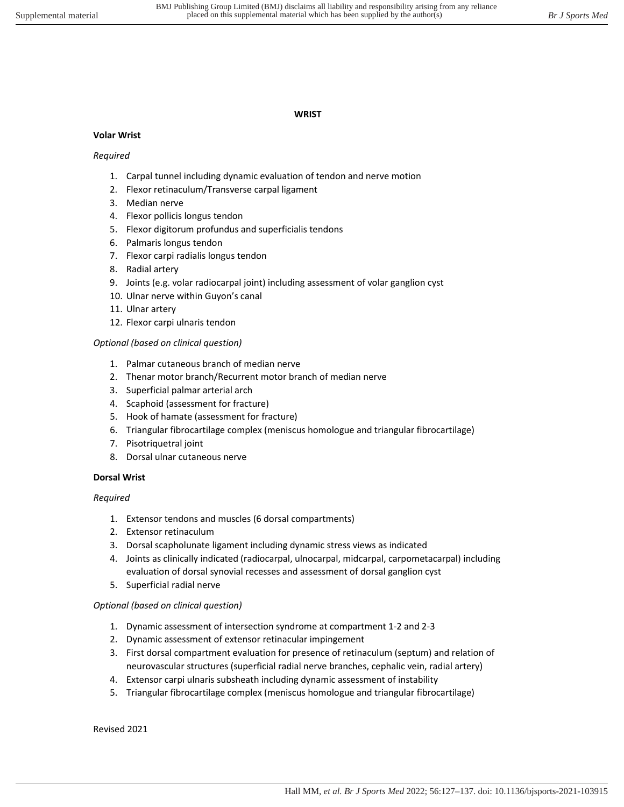#### **WRIST**

## **Volar Wrist**

## *Required*

- 1. Carpal tunnel including dynamic evaluation of tendon and nerve motion
- 2. Flexor retinaculum/Transverse carpal ligament
- 3. Median nerve
- 4. Flexor pollicis longus tendon
- 5. Flexor digitorum profundus and superficialis tendons
- 6. Palmaris longus tendon
- 7. Flexor carpi radialis longus tendon
- 8. Radial artery
- 9. Joints (e.g. volar radiocarpal joint) including assessment of volar ganglion cyst
- 10. Ulnar nerve within Guyon's canal
- 11. Ulnar artery
- 12. Flexor carpi ulnaris tendon

## *Optional (based on clinical question)*

- 1. Palmar cutaneous branch of median nerve
- 2. Thenar motor branch/Recurrent motor branch of median nerve
- 3. Superficial palmar arterial arch
- 4. Scaphoid (assessment for fracture)
- 5. Hook of hamate (assessment for fracture)
- 6. Triangular fibrocartilage complex (meniscus homologue and triangular fibrocartilage)
- 7. Pisotriquetral joint
- 8. Dorsal ulnar cutaneous nerve

## **Dorsal Wrist**

## *Required*

- 1. Extensor tendons and muscles (6 dorsal compartments)
- 2. Extensor retinaculum
- 3. Dorsal scapholunate ligament including dynamic stress views as indicated
- 4. Joints as clinically indicated (radiocarpal, ulnocarpal, midcarpal, carpometacarpal) including evaluation of dorsal synovial recesses and assessment of dorsal ganglion cyst
- 5. Superficial radial nerve

## *Optional (based on clinical question)*

- 1. Dynamic assessment of intersection syndrome at compartment 1-2 and 2-3
- 2. Dynamic assessment of extensor retinacular impingement
- 3. First dorsal compartment evaluation for presence of retinaculum (septum) and relation of neurovascular structures (superficial radial nerve branches, cephalic vein, radial artery)
- 4. Extensor carpi ulnaris subsheath including dynamic assessment of instability
- 5. Triangular fibrocartilage complex (meniscus homologue and triangular fibrocartilage)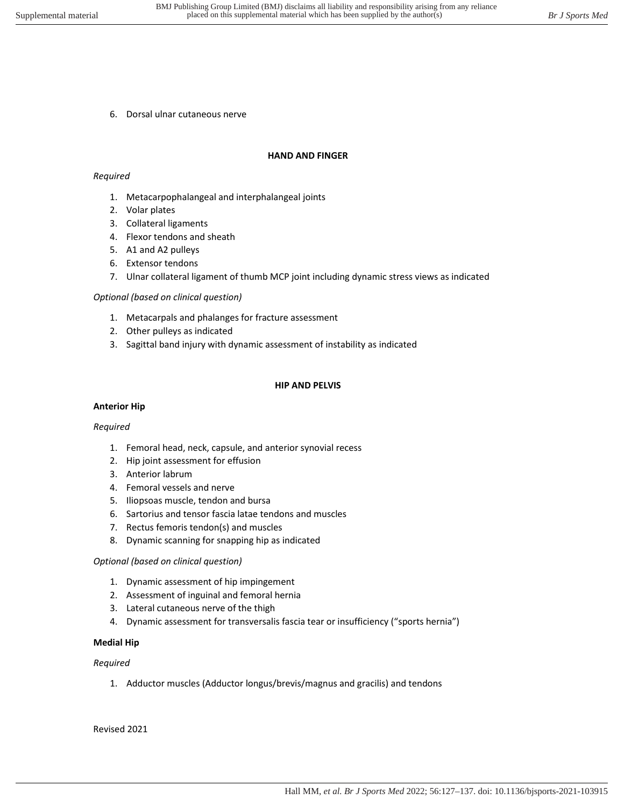6. Dorsal ulnar cutaneous nerve

#### **HAND AND FINGER**

#### *Required*

- 1. Metacarpophalangeal and interphalangeal joints
- 2. Volar plates
- 3. Collateral ligaments
- 4. Flexor tendons and sheath
- 5. A1 and A2 pulleys
- 6. Extensor tendons
- 7. Ulnar collateral ligament of thumb MCP joint including dynamic stress views as indicated

#### *Optional (based on clinical question)*

- 1. Metacarpals and phalanges for fracture assessment
- 2. Other pulleys as indicated
- 3. Sagittal band injury with dynamic assessment of instability as indicated

#### **HIP AND PELVIS**

#### **Anterior Hip**

#### *Required*

- 1. Femoral head, neck, capsule, and anterior synovial recess
- 2. Hip joint assessment for effusion
- 3. Anterior labrum
- 4. Femoral vessels and nerve
- 5. Iliopsoas muscle, tendon and bursa
- 6. Sartorius and tensor fascia latae tendons and muscles
- 7. Rectus femoris tendon(s) and muscles
- 8. Dynamic scanning for snapping hip as indicated

#### *Optional (based on clinical question)*

- 1. Dynamic assessment of hip impingement
- 2. Assessment of inguinal and femoral hernia
- 3. Lateral cutaneous nerve of the thigh
- 4. Dynamic assessment for transversalis fascia tear or insufficiency ("sports hernia")

#### **Medial Hip**

#### *Required*

1. Adductor muscles (Adductor longus/brevis/magnus and gracilis) and tendons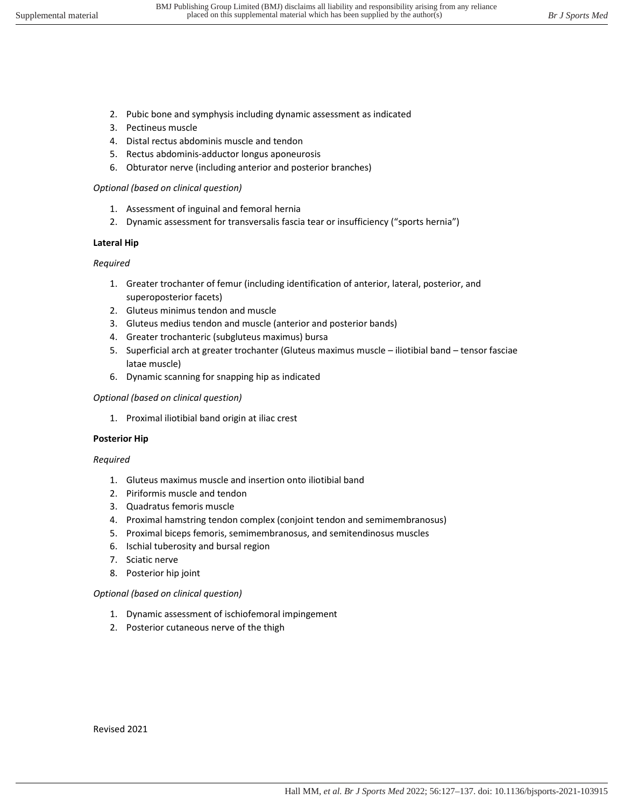- 2. Pubic bone and symphysis including dynamic assessment as indicated
- 3. Pectineus muscle
- 4. Distal rectus abdominis muscle and tendon
- 5. Rectus abdominis-adductor longus aponeurosis
- 6. Obturator nerve (including anterior and posterior branches)

- 1. Assessment of inguinal and femoral hernia
- 2. Dynamic assessment for transversalis fascia tear or insufficiency ("sports hernia")

# **Lateral Hip**

# *Required*

- 1. Greater trochanter of femur (including identification of anterior, lateral, posterior, and superoposterior facets)
- 2. Gluteus minimus tendon and muscle
- 3. Gluteus medius tendon and muscle (anterior and posterior bands)
- 4. Greater trochanteric (subgluteus maximus) bursa
- 5. Superficial arch at greater trochanter (Gluteus maximus muscle iliotibial band tensor fasciae latae muscle)
- 6. Dynamic scanning for snapping hip as indicated

# *Optional (based on clinical question)*

1. Proximal iliotibial band origin at iliac crest

# **Posterior Hip**

# *Required*

- 1. Gluteus maximus muscle and insertion onto iliotibial band
- 2. Piriformis muscle and tendon
- 3. Quadratus femoris muscle
- 4. Proximal hamstring tendon complex (conjoint tendon and semimembranosus)
- 5. Proximal biceps femoris, semimembranosus, and semitendinosus muscles
- 6. Ischial tuberosity and bursal region
- 7. Sciatic nerve
- 8. Posterior hip joint

# *Optional (based on clinical question)*

- 1. Dynamic assessment of ischiofemoral impingement
- 2. Posterior cutaneous nerve of the thigh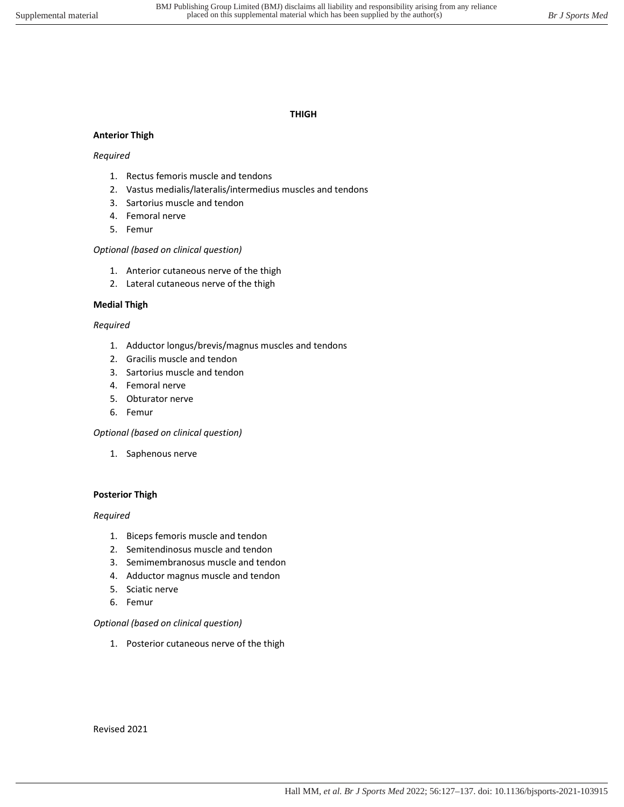## **THIGH**

## **Anterior Thigh**

## *Required*

- 1. Rectus femoris muscle and tendons
- 2. Vastus medialis/lateralis/intermedius muscles and tendons
- 3. Sartorius muscle and tendon
- 4. Femoral nerve
- 5. Femur

## *Optional (based on clinical question)*

- 1. Anterior cutaneous nerve of the thigh
- 2. Lateral cutaneous nerve of the thigh

## **Medial Thigh**

## *Required*

- 1. Adductor longus/brevis/magnus muscles and tendons
- 2. Gracilis muscle and tendon
- 3. Sartorius muscle and tendon
- 4. Femoral nerve
- 5. Obturator nerve
- 6. Femur

## *Optional (based on clinical question)*

1. Saphenous nerve

## **Posterior Thigh**

## *Required*

- 1. Biceps femoris muscle and tendon
- 2. Semitendinosus muscle and tendon
- 3. Semimembranosus muscle and tendon
- 4. Adductor magnus muscle and tendon
- 5. Sciatic nerve
- 6. Femur

## *Optional (based on clinical question)*

1. Posterior cutaneous nerve of the thigh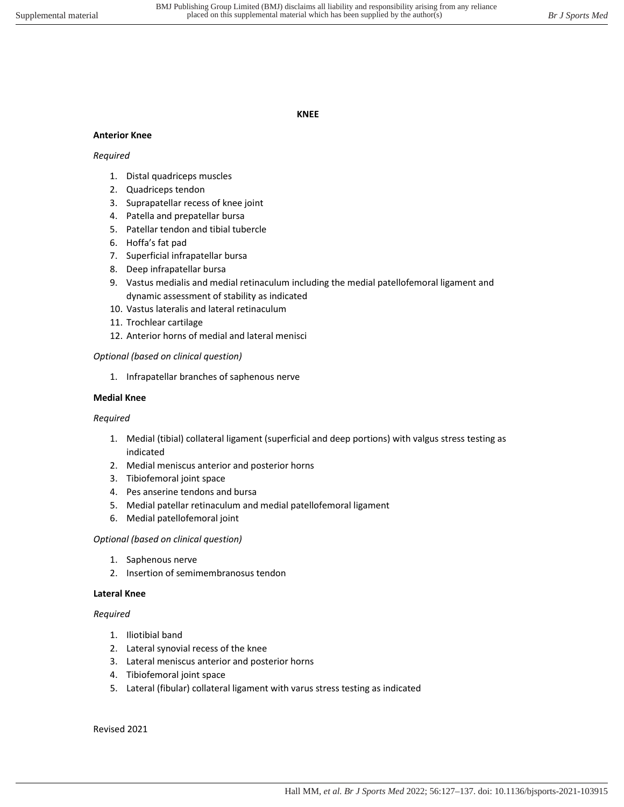#### **KNEE**

#### **Anterior Knee**

#### *Required*

- 1. Distal quadriceps muscles
- 2. Quadriceps tendon
- 3. Suprapatellar recess of knee joint
- 4. Patella and prepatellar bursa
- 5. Patellar tendon and tibial tubercle
- 6. Hoffa's fat pad
- 7. Superficial infrapatellar bursa
- 8. Deep infrapatellar bursa
- 9. Vastus medialis and medial retinaculum including the medial patellofemoral ligament and dynamic assessment of stability as indicated
- 10. Vastus lateralis and lateral retinaculum
- 11. Trochlear cartilage
- 12. Anterior horns of medial and lateral menisci

## *Optional (based on clinical question)*

1. Infrapatellar branches of saphenous nerve

#### **Medial Knee**

## *Required*

- 1. Medial (tibial) collateral ligament (superficial and deep portions) with valgus stress testing as indicated
- 2. Medial meniscus anterior and posterior horns
- 3. Tibiofemoral joint space
- 4. Pes anserine tendons and bursa
- 5. Medial patellar retinaculum and medial patellofemoral ligament
- 6. Medial patellofemoral joint

#### *Optional (based on clinical question)*

- 1. Saphenous nerve
- 2. Insertion of semimembranosus tendon

## **Lateral Knee**

## *Required*

- 1. Iliotibial band
- 2. Lateral synovial recess of the knee
- 3. Lateral meniscus anterior and posterior horns
- 4. Tibiofemoral joint space
- 5. Lateral (fibular) collateral ligament with varus stress testing as indicated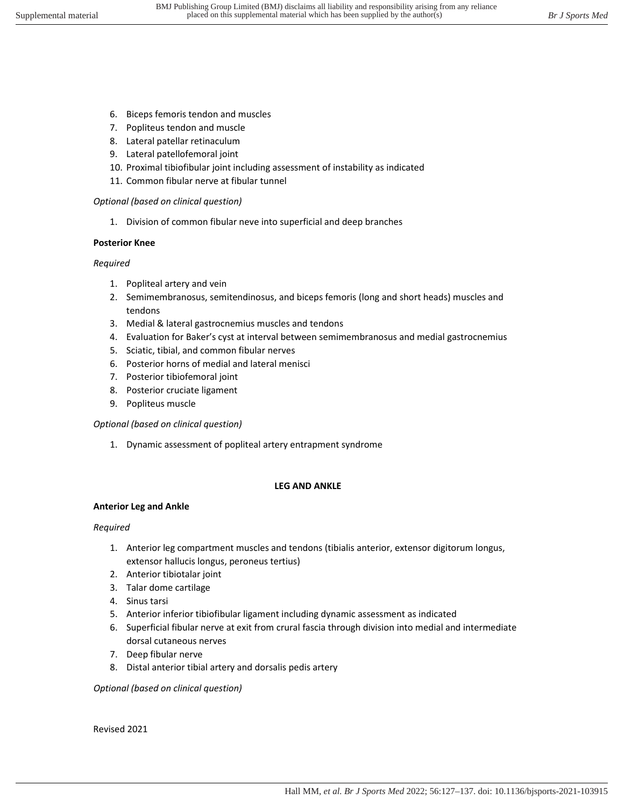- 6. Biceps femoris tendon and muscles
- 7. Popliteus tendon and muscle
- 8. Lateral patellar retinaculum
- 9. Lateral patellofemoral joint
- 10. Proximal tibiofibular joint including assessment of instability as indicated
- 11. Common fibular nerve at fibular tunnel

1. Division of common fibular neve into superficial and deep branches

# **Posterior Knee**

# *Required*

- 1. Popliteal artery and vein
- 2. Semimembranosus, semitendinosus, and biceps femoris (long and short heads) muscles and tendons
- 3. Medial & lateral gastrocnemius muscles and tendons
- 4. Evaluation for Baker's cyst at interval between semimembranosus and medial gastrocnemius
- 5. Sciatic, tibial, and common fibular nerves
- 6. Posterior horns of medial and lateral menisci
- 7. Posterior tibiofemoral joint
- 8. Posterior cruciate ligament
- 9. Popliteus muscle

# *Optional (based on clinical question)*

1. Dynamic assessment of popliteal artery entrapment syndrome

# **LEG AND ANKLE**

# **Anterior Leg and Ankle**

# *Required*

- 1. Anterior leg compartment muscles and tendons (tibialis anterior, extensor digitorum longus, extensor hallucis longus, peroneus tertius)
- 2. Anterior tibiotalar joint
- 3. Talar dome cartilage
- 4. Sinus tarsi
- 5. Anterior inferior tibiofibular ligament including dynamic assessment as indicated
- 6. Superficial fibular nerve at exit from crural fascia through division into medial and intermediate dorsal cutaneous nerves
- 7. Deep fibular nerve
- 8. Distal anterior tibial artery and dorsalis pedis artery

*Optional (based on clinical question)*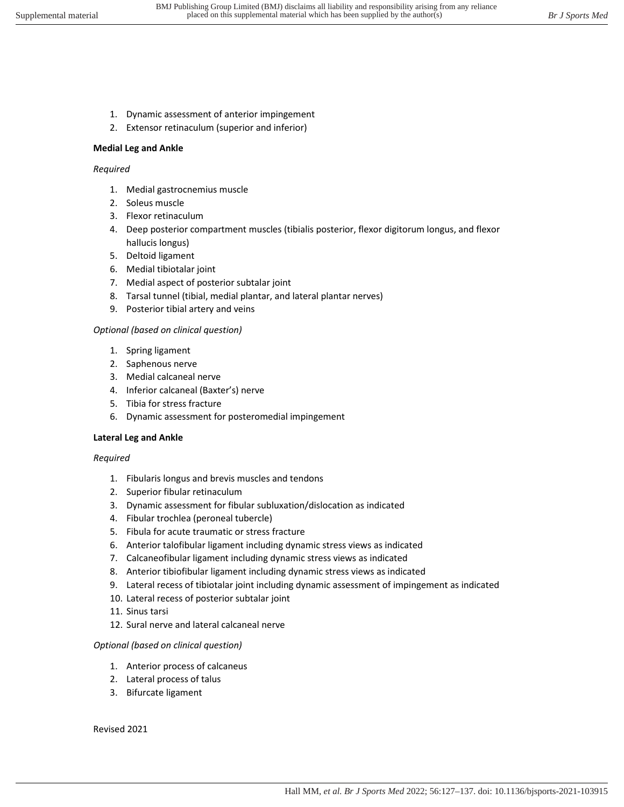- 1. Dynamic assessment of anterior impingement
- 2. Extensor retinaculum (superior and inferior)

#### **Medial Leg and Ankle**

#### *Required*

- 1. Medial gastrocnemius muscle
- 2. Soleus muscle
- 3. Flexor retinaculum
- 4. Deep posterior compartment muscles (tibialis posterior, flexor digitorum longus, and flexor hallucis longus)
- 5. Deltoid ligament
- 6. Medial tibiotalar joint
- 7. Medial aspect of posterior subtalar joint
- 8. Tarsal tunnel (tibial, medial plantar, and lateral plantar nerves)
- 9. Posterior tibial artery and veins

## *Optional (based on clinical question)*

- 1. Spring ligament
- 2. Saphenous nerve
- 3. Medial calcaneal nerve
- 4. Inferior calcaneal (Baxter's) nerve
- 5. Tibia for stress fracture
- 6. Dynamic assessment for posteromedial impingement

## **Lateral Leg and Ankle**

#### *Required*

- 1. Fibularis longus and brevis muscles and tendons
- 2. Superior fibular retinaculum
- 3. Dynamic assessment for fibular subluxation/dislocation as indicated
- 4. Fibular trochlea (peroneal tubercle)
- 5. Fibula for acute traumatic or stress fracture
- 6. Anterior talofibular ligament including dynamic stress views as indicated
- 7. Calcaneofibular ligament including dynamic stress views as indicated
- 8. Anterior tibiofibular ligament including dynamic stress views as indicated
- 9. Lateral recess of tibiotalar joint including dynamic assessment of impingement as indicated
- 10. Lateral recess of posterior subtalar joint
- 11. Sinus tarsi
- 12. Sural nerve and lateral calcaneal nerve

## *Optional (based on clinical question)*

- 1. Anterior process of calcaneus
- 2. Lateral process of talus
- 3. Bifurcate ligament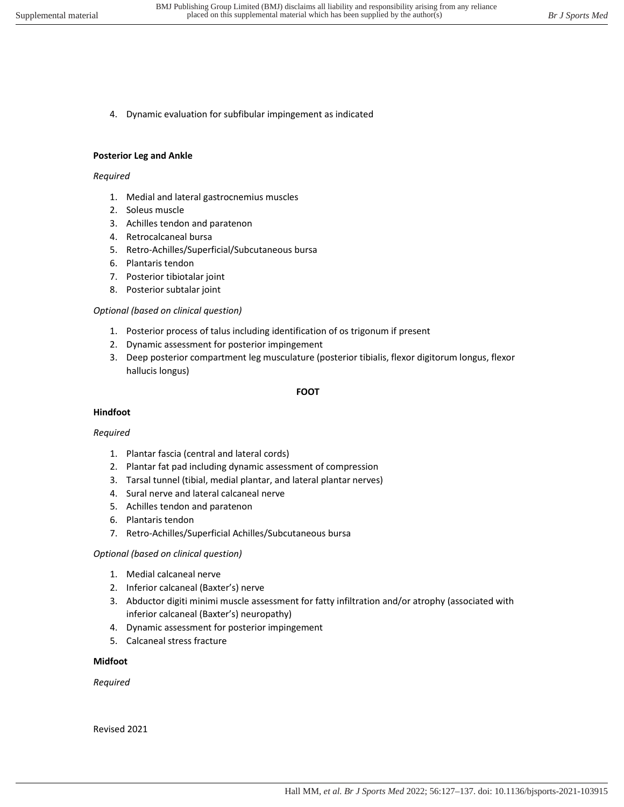4. Dynamic evaluation for subfibular impingement as indicated

#### **Posterior Leg and Ankle**

#### *Required*

- 1. Medial and lateral gastrocnemius muscles
- 2. Soleus muscle
- 3. Achilles tendon and paratenon
- 4. Retrocalcaneal bursa
- 5. Retro-Achilles/Superficial/Subcutaneous bursa
- 6. Plantaris tendon
- 7. Posterior tibiotalar joint
- 8. Posterior subtalar joint

## *Optional (based on clinical question)*

- 1. Posterior process of talus including identification of os trigonum if present
- 2. Dynamic assessment for posterior impingement
- 3. Deep posterior compartment leg musculature (posterior tibialis, flexor digitorum longus, flexor hallucis longus)

## **FOOT**

## **Hindfoot**

## *Required*

- 1. Plantar fascia (central and lateral cords)
- 2. Plantar fat pad including dynamic assessment of compression
- 3. Tarsal tunnel (tibial, medial plantar, and lateral plantar nerves)
- 4. Sural nerve and lateral calcaneal nerve
- 5. Achilles tendon and paratenon
- 6. Plantaris tendon
- 7. Retro-Achilles/Superficial Achilles/Subcutaneous bursa

## *Optional (based on clinical question)*

- 1. Medial calcaneal nerve
- 2. Inferior calcaneal (Baxter's) nerve
- 3. Abductor digiti minimi muscle assessment for fatty infiltration and/or atrophy (associated with inferior calcaneal (Baxter's) neuropathy)
- 4. Dynamic assessment for posterior impingement
- 5. Calcaneal stress fracture

## **Midfoot**

*Required*